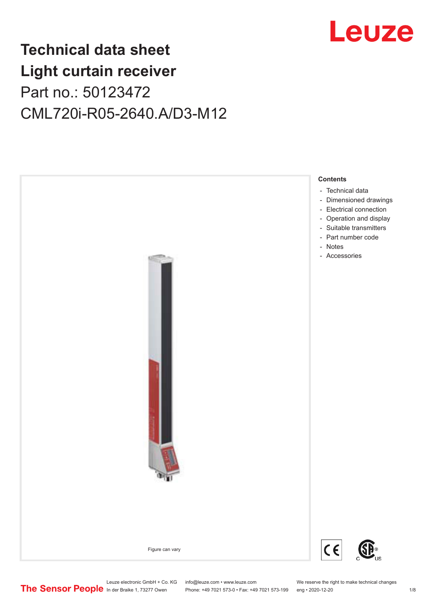

## **Technical data sheet Light curtain receiver** Part no.: 50123472 CML720i-R05-2640.A/D3-M12



Leuze electronic GmbH + Co. KG info@leuze.com • www.leuze.com We reserve the right to make technical changes<br>
The Sensor People in der Braike 1, 73277 Owen Phone: +49 7021 573-0 • Fax: +49 7021 573-199 eng • 2020-12-20

Phone: +49 7021 573-0 • Fax: +49 7021 573-199 eng • 2020-12-20 1 2020-12-20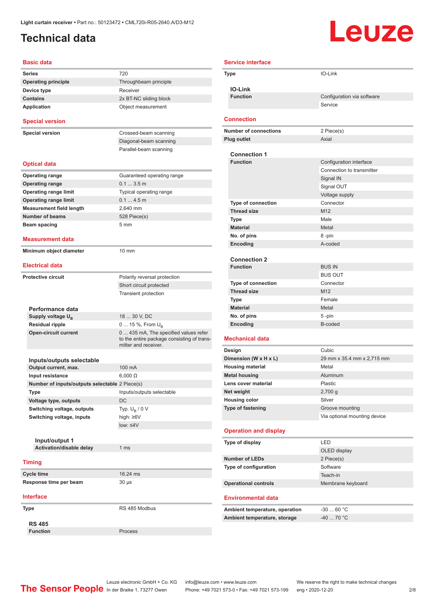### <span id="page-1-0"></span>**Technical data**

# Leuze

| <b>Basic data</b>                              |                                                                    |
|------------------------------------------------|--------------------------------------------------------------------|
| <b>Series</b>                                  | 720                                                                |
| <b>Operating principle</b>                     | Throughbeam principle                                              |
| Device type                                    | Receiver                                                           |
| <b>Contains</b>                                | 2x BT-NC sliding block                                             |
| Application                                    | Object measurement                                                 |
| <b>Special version</b>                         |                                                                    |
| <b>Special version</b>                         | Crossed-beam scanning                                              |
|                                                | Diagonal-beam scanning                                             |
|                                                | Parallel-beam scanning                                             |
| <b>Optical data</b>                            |                                                                    |
| <b>Operating range</b>                         | Guaranteed operating range                                         |
| <b>Operating range</b>                         | 0.13.5m                                                            |
| <b>Operating range limit</b>                   | Typical operating range                                            |
| <b>Operating range limit</b>                   | 0.14.5m                                                            |
| <b>Measurement field length</b>                | 2.640 mm                                                           |
| <b>Number of beams</b>                         | 528 Piece(s)                                                       |
| Beam spacing                                   | 5 <sub>mm</sub>                                                    |
| Measurement data                               |                                                                    |
| Minimum object diameter                        | $10 \text{ mm}$                                                    |
| <b>Electrical data</b>                         |                                                                    |
|                                                |                                                                    |
| <b>Protective circuit</b>                      | Polarity reversal protection                                       |
|                                                | Short circuit protected                                            |
|                                                | <b>Transient protection</b>                                        |
|                                                |                                                                    |
| Performance data<br>Supply voltage $U_{\rm B}$ | 18  30 V, DC                                                       |
| <b>Residual ripple</b>                         | 0  15 %, From $U_{\rm B}$                                          |
| <b>Open-circuit current</b>                    | 0  435 mA, The specified values refer                              |
|                                                | to the entire package consisting of trans-<br>mitter and receiver. |
|                                                |                                                                    |
| Inputs/outputs selectable                      |                                                                    |
| Output current, max.                           | 100 mA                                                             |
| Input resistance                               | $6,000 \Omega$                                                     |
| Number of inputs/outputs selectable 2 Piece(s) |                                                                    |
| Type                                           | Inputs/outputs selectable                                          |
| Voltage type, outputs                          | <b>DC</b>                                                          |
| Switching voltage, outputs                     | Typ. $U_R / 0 V$                                                   |
| Switching voltage, inputs                      | high: $\geq 6V$                                                    |
|                                                | $low: 4V$                                                          |
|                                                |                                                                    |
| Input/output 1<br>Activation/disable delay     | 1 <sub>ms</sub>                                                    |
|                                                |                                                                    |
| <b>Timing</b>                                  |                                                                    |
| Cycle time                                     | 16.24 ms                                                           |
| Response time per beam                         | $30 \mu s$                                                         |
| <b>Interface</b>                               |                                                                    |
| <b>Type</b>                                    | RS 485 Modbus                                                      |
|                                                |                                                                    |
| <b>RS 485</b><br><b>Function</b>               | Process                                                            |
|                                                |                                                                    |

| <b>Service interface</b> |                                   |                               |
|--------------------------|-----------------------------------|-------------------------------|
|                          | Type                              | IO-Link                       |
|                          | <b>IO-Link</b>                    |                               |
|                          | <b>Function</b>                   | Configuration via software    |
|                          |                                   | Service                       |
|                          |                                   |                               |
|                          | <b>Connection</b>                 |                               |
|                          | <b>Number of connections</b>      | 2 Piece(s)                    |
|                          | <b>Plug outlet</b>                | Axial                         |
|                          | <b>Connection 1</b>               |                               |
|                          | <b>Function</b>                   | Configuration interface       |
|                          |                                   | Connection to transmitter     |
|                          |                                   | Signal IN                     |
|                          |                                   | Signal OUT                    |
|                          |                                   | Voltage supply                |
|                          | Type of connection                | Connector                     |
|                          | <b>Thread size</b>                | M12                           |
|                          | <b>Type</b>                       | Male                          |
|                          | <b>Material</b>                   | Metal                         |
|                          | No. of pins                       | 8-pin                         |
|                          | Encoding                          | A-coded                       |
|                          | <b>Connection 2</b>               |                               |
|                          | <b>Function</b>                   | <b>BUS IN</b>                 |
|                          |                                   | <b>BUS OUT</b>                |
|                          | <b>Type of connection</b>         | Connector                     |
|                          | <b>Thread size</b>                | M12                           |
|                          | <b>Type</b>                       | Female                        |
|                          | <b>Material</b>                   | Metal                         |
|                          | No. of pins<br>Encoding           | 5-pin<br>B-coded              |
|                          |                                   |                               |
|                          | Mechanical data                   |                               |
|                          | Design                            | Cubic                         |
|                          | Dimension (W x H x L)             | 29 mm x 35.4 mm x 2,715 mm    |
|                          | <b>Housing material</b>           | Metal                         |
|                          | <b>Metal housing</b>              | Aluminum<br>Plastic           |
|                          | Lens cover material<br>Net weight | $2,700$ g                     |
|                          | <b>Housing color</b>              | Silver                        |
|                          | Type of fastening                 | Groove mounting               |
|                          |                                   | Via optional mounting device  |
|                          |                                   |                               |
|                          | <b>Operation and display</b>      |                               |
|                          | Type of display                   | LED                           |
|                          |                                   | OLED display                  |
|                          | <b>Number of LEDs</b>             | 2 Piece(s)                    |
|                          | Type of configuration             | Software                      |
|                          | <b>Operational controls</b>       | Teach-in<br>Membrane keyboard |
|                          |                                   |                               |
|                          | <b>Environmental data</b>         |                               |
|                          | Ambient temperature, operation    | $-3060 °C$                    |
|                          | Ambient temperature, storage      | $-4070 °C$                    |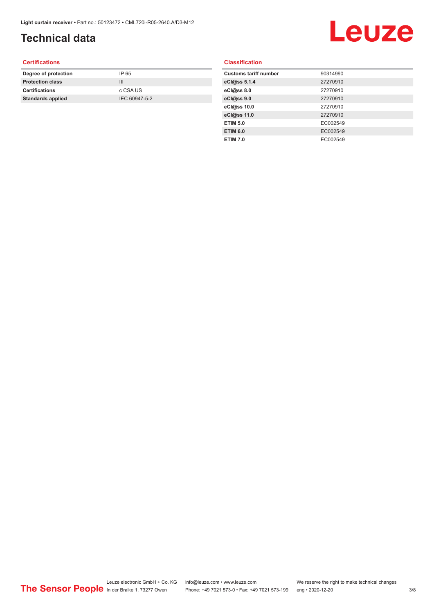## **Technical data**

# Leuze

#### **Certifications**

| Degree of protection     | IP 65         |
|--------------------------|---------------|
| <b>Protection class</b>  | Ш             |
| <b>Certifications</b>    | c CSA US      |
| <b>Standards applied</b> | IEC 60947-5-2 |
|                          |               |

#### **Classification**

| <b>Customs tariff number</b> | 90314990 |
|------------------------------|----------|
| eCl@ss 5.1.4                 | 27270910 |
| eCl@ss 8.0                   | 27270910 |
| eCl@ss 9.0                   | 27270910 |
| eCl@ss 10.0                  | 27270910 |
| eCl@ss 11.0                  | 27270910 |
| <b>ETIM 5.0</b>              | EC002549 |
| <b>ETIM 6.0</b>              | EC002549 |
| <b>ETIM 7.0</b>              | EC002549 |
|                              |          |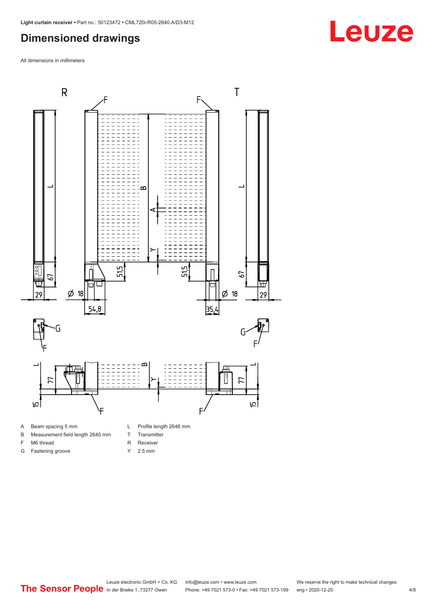#### <span id="page-3-0"></span>**Dimensioned drawings**

All dimensions in millimeters



#### A Beam spacing 5 mm

- B Measurement field length 2640 mm
- F M6 thread
- G Fastening groove
- L Profile length 2648 mm
- T Transmitter
- R Receiver
- Y 2.5 mm

# **Leuze**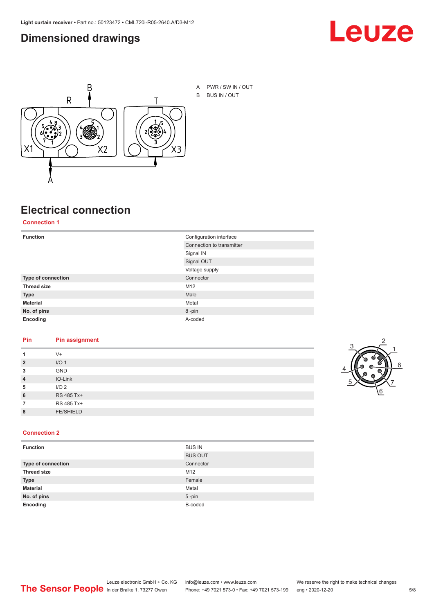#### <span id="page-4-0"></span>**Dimensioned drawings**





A PWR / SW IN / OUT B BUS IN / OUT

## **Electrical connection**

#### **Connection 1**

| <b>Function</b>    | Configuration interface   |
|--------------------|---------------------------|
|                    | Connection to transmitter |
|                    | Signal IN                 |
|                    | Signal OUT                |
|                    | Voltage supply            |
| Type of connection | Connector                 |
| <b>Thread size</b> | M <sub>12</sub>           |
| <b>Type</b>        | Male                      |
| <b>Material</b>    | Metal                     |
| No. of pins        | 8-pin                     |
| Encoding           | A-coded                   |

#### **Pin Pin assignment**

|                | $V +$            |  |  |
|----------------|------------------|--|--|
| $\overline{2}$ | I/O <sub>1</sub> |  |  |
| 3              | <b>GND</b>       |  |  |
| $\overline{4}$ | IO-Link          |  |  |
| 5              | I/O <sub>2</sub> |  |  |
| 6              | RS 485 Tx+       |  |  |
|                | RS 485 Tx+       |  |  |
| 8              | <b>FE/SHIELD</b> |  |  |
|                |                  |  |  |



#### **Connection 2**

| <b>Function</b>    | <b>BUS IN</b>  |
|--------------------|----------------|
|                    | <b>BUS OUT</b> |
| Type of connection | Connector      |
| <b>Thread size</b> | M12            |
| <b>Type</b>        | Female         |
| <b>Material</b>    | Metal          |
| No. of pins        | $5 - pin$      |
| Encoding           | B-coded        |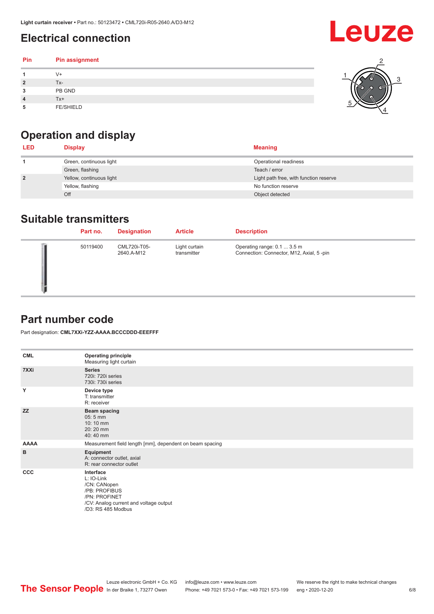## <span id="page-5-0"></span>**Electrical connection**

| Pin | Pin assignment   |  |
|-----|------------------|--|
|     | $V +$            |  |
|     | Tx-              |  |
| 3   | PB GND           |  |
|     | $Tx+$            |  |
| 5   | <b>FE/SHIELD</b> |  |

## **Operation and display**

| <b>LED</b>     | <b>Display</b>           | <b>Meaning</b>                         |
|----------------|--------------------------|----------------------------------------|
|                | Green, continuous light  | Operational readiness                  |
|                | Green, flashing          | Teach / error                          |
| $\overline{2}$ | Yellow, continuous light | Light path free, with function reserve |
|                | Yellow, flashing         | No function reserve                    |
|                | Off                      | Object detected                        |

#### **Suitable transmitters**

| Part no. | <b>Designation</b>         | <b>Article</b>               | <b>Description</b>                                                      |
|----------|----------------------------|------------------------------|-------------------------------------------------------------------------|
| 50119400 | CML720i-T05-<br>2640.A-M12 | Light curtain<br>transmitter | Operating range: 0.1  3.5 m<br>Connection: Connector, M12, Axial, 5-pin |

### **Part number code**

Part designation: **CML7XXi-YZZ-AAAA.BCCCDDD-EEEFFF**

| <b>CML</b>  | <b>Operating principle</b><br>Measuring light curtain                                                                                     |
|-------------|-------------------------------------------------------------------------------------------------------------------------------------------|
| 7XXi        | <b>Series</b><br>720i: 720i series<br>730i: 730i series                                                                                   |
| Y           | Device type<br>T: transmitter<br>R: receiver                                                                                              |
| <b>ZZ</b>   | <b>Beam spacing</b><br>$05:5$ mm<br>10:10 mm<br>20:20 mm<br>40:40 mm                                                                      |
| <b>AAAA</b> | Measurement field length [mm], dependent on beam spacing                                                                                  |
| B           | Equipment<br>A: connector outlet, axial<br>R: rear connector outlet                                                                       |
| <b>CCC</b>  | Interface<br>L: IO-Link<br>/CN: CANopen<br>/PB: PROFIBUS<br>/PN: PROFINET<br>/CV: Analog current and voltage output<br>/D3: RS 485 Modbus |

**Leuze**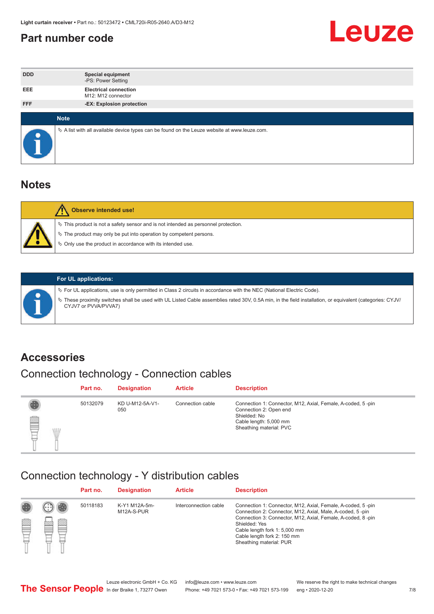#### <span id="page-6-0"></span>**Part number code**



| <b>DDD</b> | <b>Special equipment</b><br>-PS: Power Setting                                                  |
|------------|-------------------------------------------------------------------------------------------------|
| <b>EEE</b> | <b>Electrical connection</b><br>M12: M12 connector                                              |
| <b>FFF</b> | -EX: Explosion protection                                                                       |
|            |                                                                                                 |
|            | <b>Note</b>                                                                                     |
|            | $\&$ A list with all available device types can be found on the Leuze website at www.leuze.com. |

#### **Notes**

| $\%$ The product may only be put into operation by competent persons.<br>₿ Only use the product in accordance with its intended use. | $\%$ This product is not a safety sensor and is not intended as personnel protection. |
|--------------------------------------------------------------------------------------------------------------------------------------|---------------------------------------------------------------------------------------|



#### **For UL applications:**

ª For UL applications, use is only permitted in Class 2 circuits in accordance with the NEC (National Electric Code). ª These proximity switches shall be used with UL Listed Cable assemblies rated 30V, 0.5A min, in the field installation, or equivalent (categories: CYJV/ CYJV7 or PVVA/PVVA7)

#### **Accessories**

## Connection technology - Connection cables

|         | Part no. | <b>Designation</b>     | <b>Article</b>   | <b>Description</b>                                                                                                                                         |
|---------|----------|------------------------|------------------|------------------------------------------------------------------------------------------------------------------------------------------------------------|
| ▤<br>WD | 50132079 | KD U-M12-5A-V1-<br>050 | Connection cable | Connection 1: Connector, M12, Axial, Female, A-coded, 5-pin<br>Connection 2: Open end<br>Shielded: No<br>Cable length: 5,000 mm<br>Sheathing material: PVC |

#### Connection technology - Y distribution cables

|        |   | Part no. | <b>Designation</b>          | <b>Article</b>        | <b>Description</b>                                                                                                                                                                                                                                                                                  |
|--------|---|----------|-----------------------------|-----------------------|-----------------------------------------------------------------------------------------------------------------------------------------------------------------------------------------------------------------------------------------------------------------------------------------------------|
| 圔<br>⋿ | Ø | 50118183 | K-Y1 M12A-5m-<br>M12A-S-PUR | Interconnection cable | Connection 1: Connector, M12, Axial, Female, A-coded, 5-pin<br>Connection 2: Connector, M12, Axial, Male, A-coded, 5-pin<br>Connection 3: Connector, M12, Axial, Female, A-coded, 8-pin<br>Shielded: Yes<br>Cable length fork 1: 5,000 mm<br>Cable length fork 2: 150 mm<br>Sheathing material: PUR |